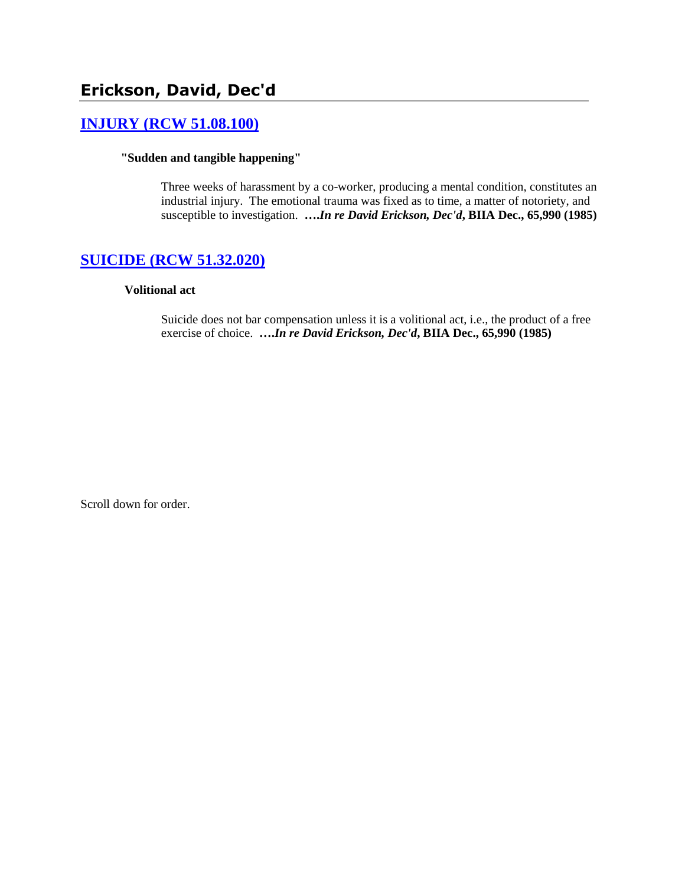# **Erickson, David, Dec'd**

# **[INJURY \(RCW 51.08.100\)](http://www.biia.wa.gov/SDSubjectIndex.html#INJURY)**

# **"Sudden and tangible happening"**

Three weeks of harassment by a co-worker, producing a mental condition, constitutes an industrial injury. The emotional trauma was fixed as to time, a matter of notoriety, and susceptible to investigation. **….***In re David Erickson, Dec'd***, BIIA Dec., 65,990 (1985)**

# **[SUICIDE \(RCW 51.32.020\)](http://www.biia.wa.gov/SDSubjectIndex.html#SUICIDE)**

# **Volitional act**

Suicide does not bar compensation unless it is a volitional act, i.e., the product of a free exercise of choice. **….***In re David Erickson, Dec'd***, BIIA Dec., 65,990 (1985)** 

Scroll down for order.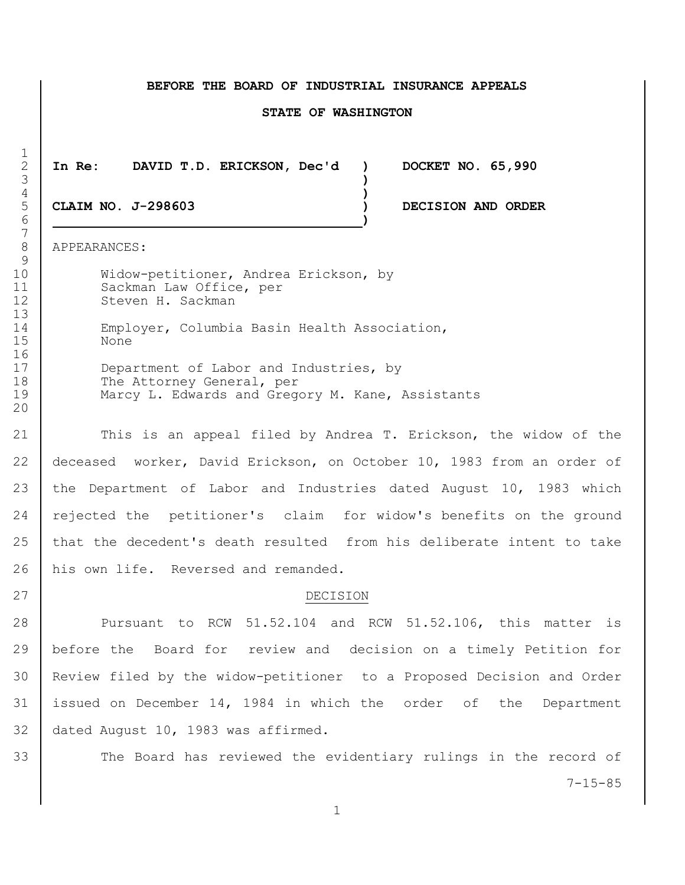#### **BEFORE THE BOARD OF INDUSTRIAL INSURANCE APPEALS**

#### **STATE OF WASHINGTON**

**In Re: DAVID T.D. ERICKSON, Dec'd ) DOCKET NO. 65,990**

**CLAIM NO. J-298603 ) DECISION AND ORDER**

APPEARANCES:

 Widow-petitioner, Andrea Erickson, by 11 Sackman Law Office, per 12 Steven H. Sackman

 Employer, Columbia Basin Health Association, None

17 Department of Labor and Industries, by 18 The Attorney General, per Marcy L. Edwards and Gregory M. Kane, Assistants

21 This is an appeal filed by Andrea T. Erickson, the widow of the deceased worker, David Erickson, on October 10, 1983 from an order of the Department of Labor and Industries dated August 10, 1983 which 24 rejected the petitioner's claim for widow's benefits on the ground that the decedent's death resulted from his deliberate intent to take 26 his own life. Reversed and remanded.

# 27 DECISION

28 Pursuant to RCW 51.52.104 and RCW 51.52.106, this matter is before the Board for review and decision on a timely Petition for Review filed by the widow-petitioner to a Proposed Decision and Order issued on December 14, 1984 in which the order of the Department dated August 10, 1983 was affirmed.

7-15-85 33 The Board has reviewed the evidentiary rulings in the record of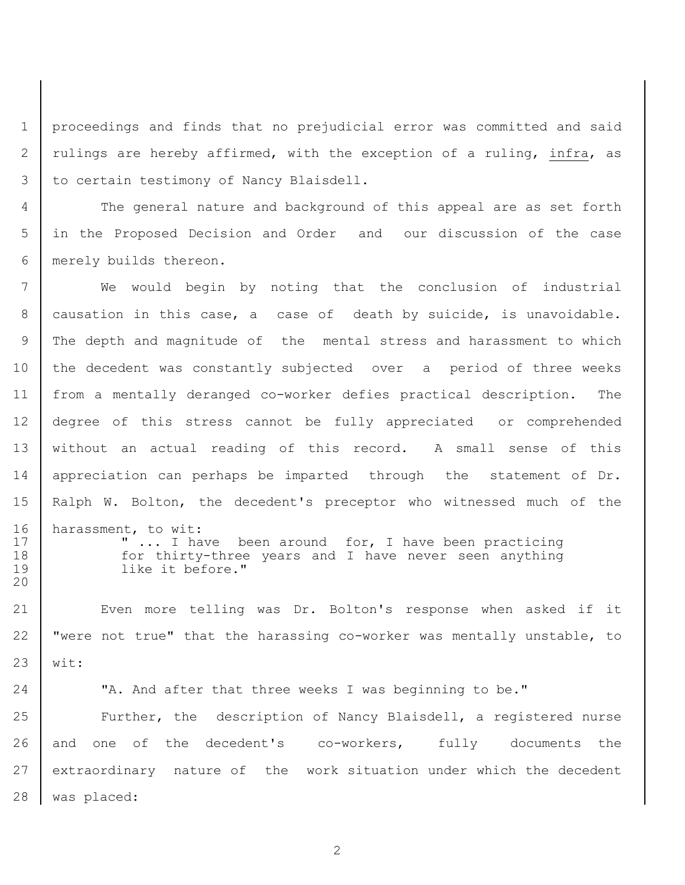proceedings and finds that no prejudicial error was committed and said 2 | rulings are hereby affirmed, with the exception of a ruling, infra, as 3 to certain testimony of Nancy Blaisdell.

 The general nature and background of this appeal are as set forth in the Proposed Decision and Order and our discussion of the case merely builds thereon.

 We would begin by noting that the conclusion of industrial causation in this case, a case of death by suicide, is unavoidable. The depth and magnitude of the mental stress and harassment to which the decedent was constantly subjected over a period of three weeks from a mentally deranged co-worker defies practical description. The degree of this stress cannot be fully appreciated or comprehended 13 without an actual reading of this record. A small sense of this 14 appreciation can perhaps be imparted through the statement of Dr. Ralph W. Bolton, the decedent's preceptor who witnessed much of the harassment, to wit: 17 | Thave been around for, I have been practicing 18 | for thirty-three years and I have never seen anything like it before." Even more telling was Dr. Bolton's response when asked if it

22  $\vert$  "were not true" that the harassing co-worker was mentally unstable, to wit:

**Number 24** TA. And after that three weeks I was beginning to be." 25 Further, the description of Nancy Blaisdell, a registered nurse and one of the decedent's co-workers, fully documents the extraordinary nature of the work situation under which the decedent was placed: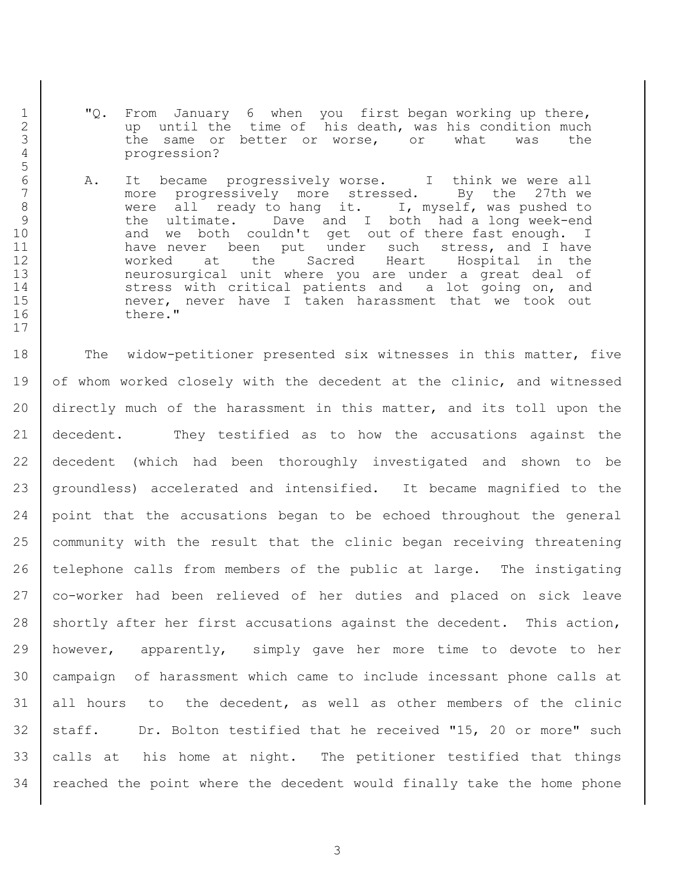1 | "Q. From January 6 when you first began working up there, 2 q b up until the time of his death, was his condition much 3 1 1 the same or better or worse, or what was the 4 progression?

5

17

6 A. It became progressively worse. I think we were all more progressively more stressed. By the 27th we 8 | were all ready to hang it. I, myself, was pushed to 9 1 1 the ultimate. Dave and I both had a long week-end 10 and we both couldn't get out of there fast enough. I 11 | have never been put under such stress, and I have 12 worked at the Sacred Heart Hospital in the 13 neurosurgical unit where you are under a great deal of 14 Stress with critical patients and a lot going on, and 15 | mever, never have I taken harassment that we took out 16 there."

18 The widow-petitioner presented six witnesses in this matter, five 19 of whom worked closely with the decedent at the clinic, and witnessed directly much of the harassment in this matter, and its toll upon the decedent. They testified as to how the accusations against the decedent (which had been thoroughly investigated and shown to be groundless) accelerated and intensified. It became magnified to the point that the accusations began to be echoed throughout the general community with the result that the clinic began receiving threatening telephone calls from members of the public at large. The instigating co-worker had been relieved of her duties and placed on sick leave 28 shortly after her first accusations against the decedent. This action, however, apparently, simply gave her more time to devote to her campaign of harassment which came to include incessant phone calls at all hours to the decedent, as well as other members of the clinic 32 | staff. Dr. Bolton testified that he received "15, 20 or more" such calls at his home at night. The petitioner testified that things 34 | reached the point where the decedent would finally take the home phone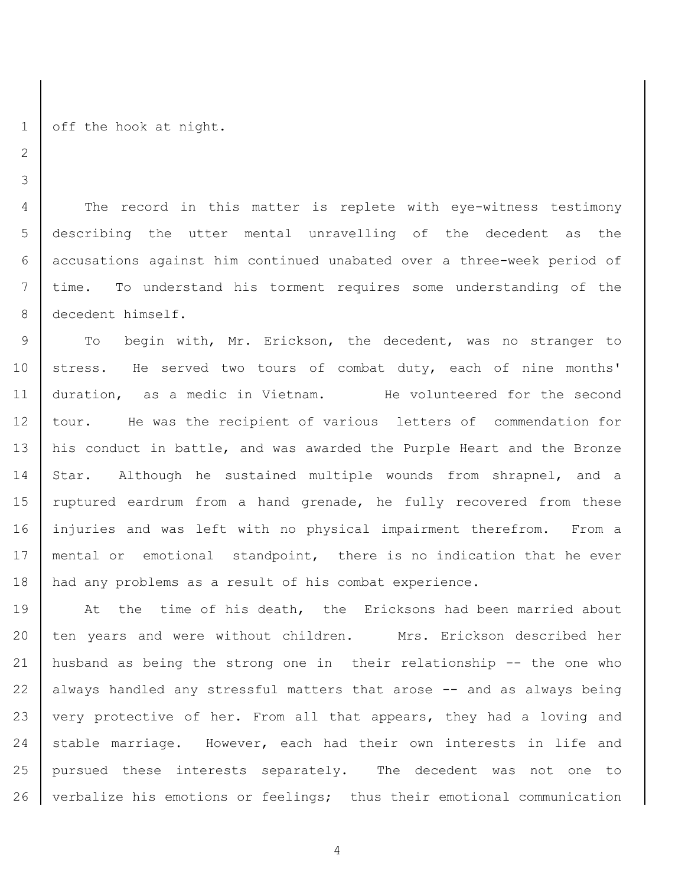1 | off the hook at night.

 The record in this matter is replete with eye-witness testimony describing the utter mental unravelling of the decedent as the accusations against him continued unabated over a three-week period of time. To understand his torment requires some understanding of the 8 decedent himself.

9 To begin with, Mr. Erickson, the decedent, was no stranger to 10 | stress. He served two tours of combat duty, each of nine months' duration, as a medic in Vietnam. He volunteered for the second tour. He was the recipient of various letters of commendation for his conduct in battle, and was awarded the Purple Heart and the Bronze Star. Although he sustained multiple wounds from shrapnel, and a 15 | ruptured eardrum from a hand grenade, he fully recovered from these injuries and was left with no physical impairment therefrom. From a mental or emotional standpoint, there is no indication that he ever 18 | had any problems as a result of his combat experience.

19 at the time of his death, the Ericksons had been married about 20 | ten years and were without children. Mrs. Erickson described her husband as being the strong one in their relationship -- the one who always handled any stressful matters that arose -- and as always being 23 very protective of her. From all that appears, they had a loving and 24 stable marriage. However, each had their own interests in life and pursued these interests separately. The decedent was not one to verbalize his emotions or feelings; thus their emotional communication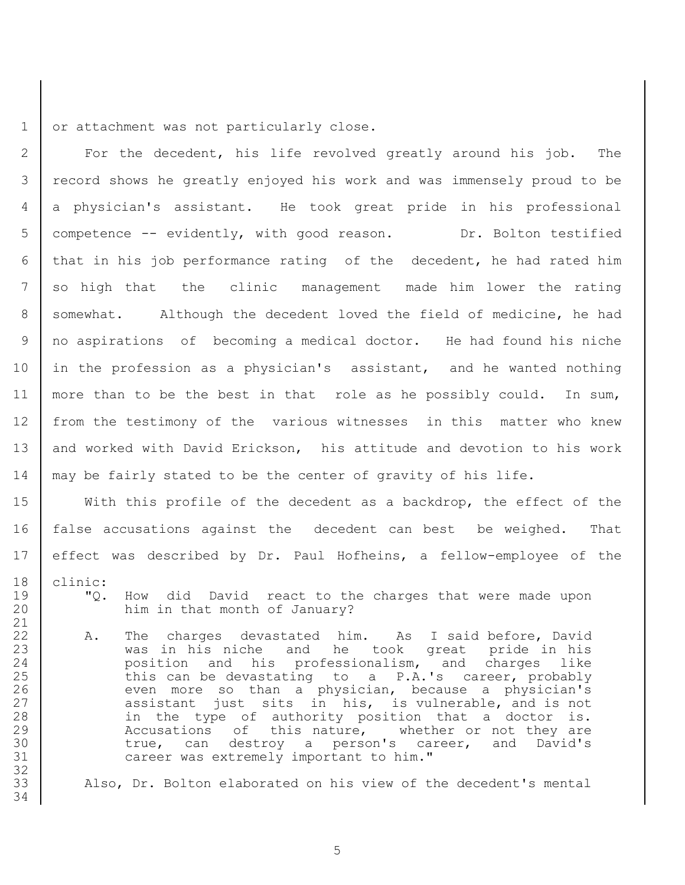1 or attachment was not particularly close.

2 | For the decedent, his life revolved greatly around his job. The record shows he greatly enjoyed his work and was immensely proud to be a physician's assistant. He took great pride in his professional competence -- evidently, with good reason. Dr. Bolton testified that in his job performance rating of the decedent, he had rated him so high that the clinic management made him lower the rating 8 somewhat. Although the decedent loved the field of medicine, he had no aspirations of becoming a medical doctor. He had found his niche in the profession as a physician's assistant, and he wanted nothing 11 | more than to be the best in that role as he possibly could. In sum, from the testimony of the various witnesses in this matter who knew 13 and worked with David Erickson, his attitude and devotion to his work may be fairly stated to be the center of gravity of his life.

 With this profile of the decedent as a backdrop, the effect of the false accusations against the decedent can best be weighed. That effect was described by Dr. Paul Hofheins, a fellow-employee of the 18 clinic:

- 19 | "Q. How did David react to the charges that were made upon 20 him in that month of January?
- 22 A. The charges devastated him. As I said before, David 23 was in his niche and he took great pride in his 24 **position** and his professionalism, and charges like 25 this can be devastating to a P.A.'s career, probably 26 even more so than a physician, because a physician's 27 assistant just sits in his, is vulnerable, and is not 28 in the type of authority position that a doctor is. 29 Accusations of this nature, whether or not they are 30 true, can destroy a person's career, and David's 31 career was extremely important to him."

33 Also, Dr. Bolton elaborated on his view of the decedent's mental

5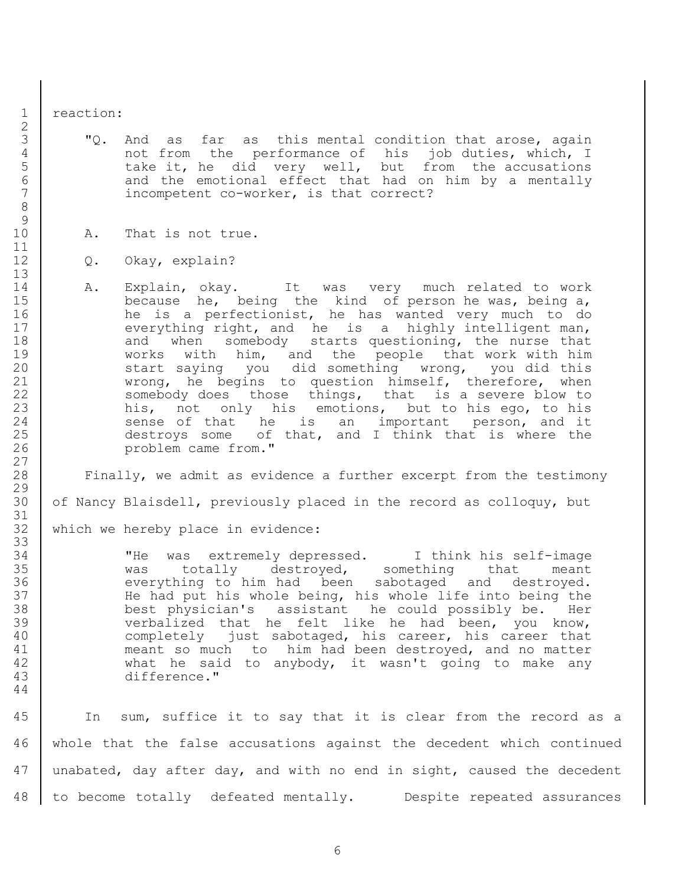reaction:

3 | "Q. And as far as this mental condition that arose, again not from the performance of his job duties, which, I take it, he did very well, but from the accusations 6 and the emotional effect that had on him by a mentally 7 incompetent co-worker, is that correct?

## 10 | A. That is not true.

- Q. Okay, explain?
- A. Explain, okay. It was very much related to work 15 because he, being the kind of person he was, being a, 16 he is a perfectionist, he has wanted very much to do 17 everything right, and he is a highly intelligent man, 18 and when somebody starts questioning, the nurse that works with him, and the people that work with him 20 start saying you did something wrong, you did this wrong, he begins to question himself, therefore, when 22 | Somebody does those things, that is a severe blow to 23 his, not only his emotions, but to his ego, to his 24 sense of that he is an important person, and it destroys some of that, and I think that is where the problem came from."

 Finally, we admit as evidence a further excerpt from the testimony 30 of Nancy Blaisdell, previously placed in the record as colloquy, but

32 | which we hereby place in evidence:

 "He was extremely depressed. I think his self-image was totally destroyed, something that meant 36 | everything to him had been sabotaged and destroyed. 37 | He had put his whole being, his whole life into being the best physician's assistant he could possibly be. Her 39 verbalized that he felt like he had been, you know, 40 | completely just sabotaged, his career, his career that meant so much to him had been destroyed, and no matter what he said to anybody, it wasn't going to make any difference."

 In sum, suffice it to say that it is clear from the record as a whole that the false accusations against the decedent which continued 47 unabated, day after day, and with no end in sight, caused the decedent to become totally defeated mentally. Despite repeated assurances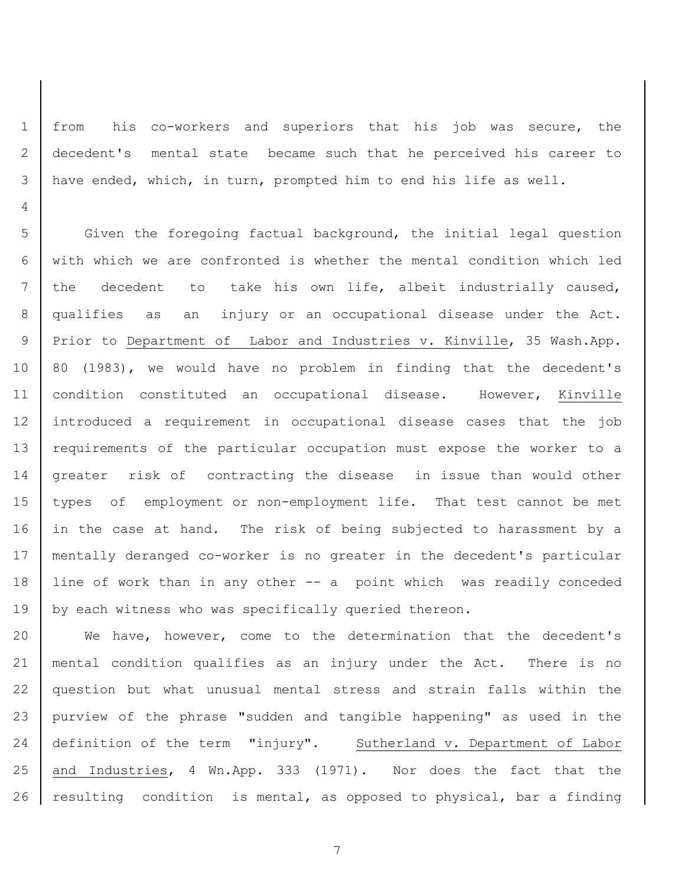from his co-workers and superiors that his job was secure, the decedent's mental state became such that he perceived his career to have ended, which, in turn, prompted him to end his life as well.

5 Given the foregoing factual background, the initial legal question with which we are confronted is whether the mental condition which led the decedent to take his own life, albeit industrially caused, qualifies as an injury or an occupational disease under the Act. Prior to Department of Labor and Industries v. Kinville, 35 Wash.App. 10 | 80 (1983), we would have no problem in finding that the decedent's condition constituted an occupational disease. However, Kinville introduced a requirement in occupational disease cases that the job requirements of the particular occupation must expose the worker to a greater risk of contracting the disease in issue than would other types of employment or non-employment life. That test cannot be met 16 in the case at hand. The risk of being subjected to harassment by a mentally deranged co-worker is no greater in the decedent's particular line of work than in any other -- a point which was readily conceded 19 by each witness who was specifically queried thereon.

 We have, however, come to the determination that the decedent's mental condition qualifies as an injury under the Act. There is no question but what unusual mental stress and strain falls within the purview of the phrase "sudden and tangible happening" as used in the definition of the term "injury". Sutherland v. Department of Labor and Industries, 4 Wn.App. 333 (1971). Nor does the fact that the 26 | resulting condition is mental, as opposed to physical, bar a finding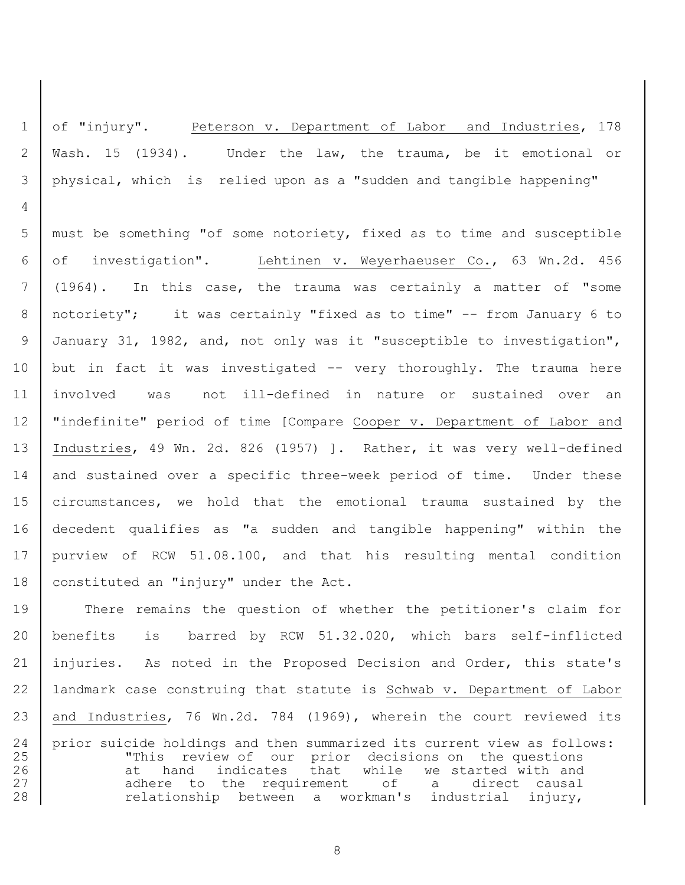of "injury". Peterson v. Department of Labor and Industries, 178 Wash. 15 (1934). Under the law, the trauma, be it emotional or physical, which is relied upon as a "sudden and tangible happening"

 must be something "of some notoriety, fixed as to time and susceptible of investigation". Lehtinen v. Weyerhaeuser Co., 63 Wn.2d. 456 (1964). In this case, the trauma was certainly a matter of "some notoriety"; it was certainly "fixed as to time" -- from January 6 to January 31, 1982, and, not only was it "susceptible to investigation", but in fact it was investigated -- very thoroughly. The trauma here involved was not ill-defined in nature or sustained over an "indefinite" period of time [Compare Cooper v. Department of Labor and Industries, 49 Wn. 2d. 826 (1957) ]. Rather, it was very well-defined 14 and sustained over a specific three-week period of time. Under these circumstances, we hold that the emotional trauma sustained by the decedent qualifies as "a sudden and tangible happening" within the purview of RCW 51.08.100, and that his resulting mental condition 18 | constituted an "injury" under the Act.

 There remains the question of whether the petitioner's claim for benefits is barred by RCW 51.32.020, which bars self-inflicted injuries. As noted in the Proposed Decision and Order, this state's landmark case construing that statute is Schwab v. Department of Labor and Industries, 76 Wn.2d. 784 (1969), wherein the court reviewed its prior suicide holdings and then summarized its current view as follows: 25 This review of our prior decisions on the questions 26 at hand indicates that while we started with and 27 adhere to the requirement of a direct causal 28 relationship between a workman's industrial injury,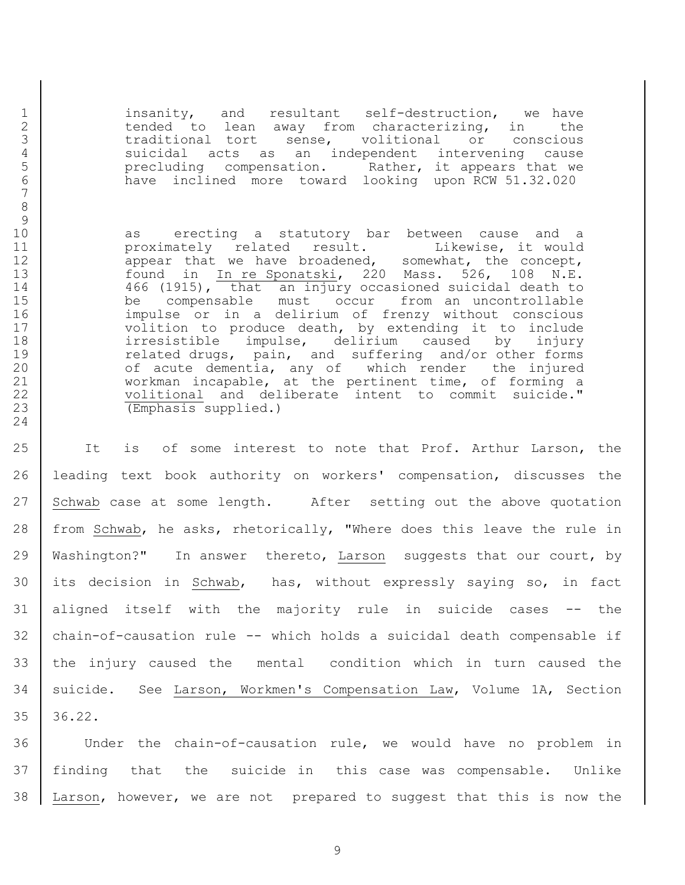insanity, and resultant self-destruction, we have 2 tended to lean away from characterizing, in the 3 1 1 traditional tort sense, volitional or conscious<br>4 suicidal acts as an independent intervening cause 4 causic suicidal acts as an independent intervening cause<br>5 secreture precluding compensation. Rather, it appears that we 5 b precluding compensation. Rather, it appears that we<br>6 have inclined more toward looking upon RCW 51.32.020 have inclined more toward looking upon RCW 51.32.020

10 | as erecting a statutory bar between cause and a 11 | proximately related result. Likewise, it would 12 appear that we have broadened, somewhat, the concept, found in In re Sponatski, 220 Mass. 526, 108 N.E. 466 (1915), that an injury occasioned suicidal death to be compensable must occur from an uncontrollable impulse or in a delirium of frenzy without conscious 17 volition to produce death, by extending it to include irresistible impulse, delirium caused by injury 19 characelering and suffering and/or other forms 20 of acute dementia, any of which render the injured workman incapable, at the pertinent time, of forming a 22 | volitional and deliberate intent to commit suicide." (Emphasis supplied.)

 It is of some interest to note that Prof. Arthur Larson, the leading text book authority on workers' compensation, discusses the 27 Schwab case at some length. After setting out the above quotation from Schwab, he asks, rhetorically, "Where does this leave the rule in Washington?" In answer thereto, Larson suggests that our court, by its decision in Schwab, has, without expressly saying so, in fact aligned itself with the majority rule in suicide cases -- the chain-of-causation rule -- which holds a suicidal death compensable if the injury caused the mental condition which in turn caused the suicide. See Larson, Workmen's Compensation Law, Volume 1A, Section 36.22.

 Under the chain-of-causation rule, we would have no problem in finding that the suicide in this case was compensable. Unlike Larson, however, we are not prepared to suggest that this is now the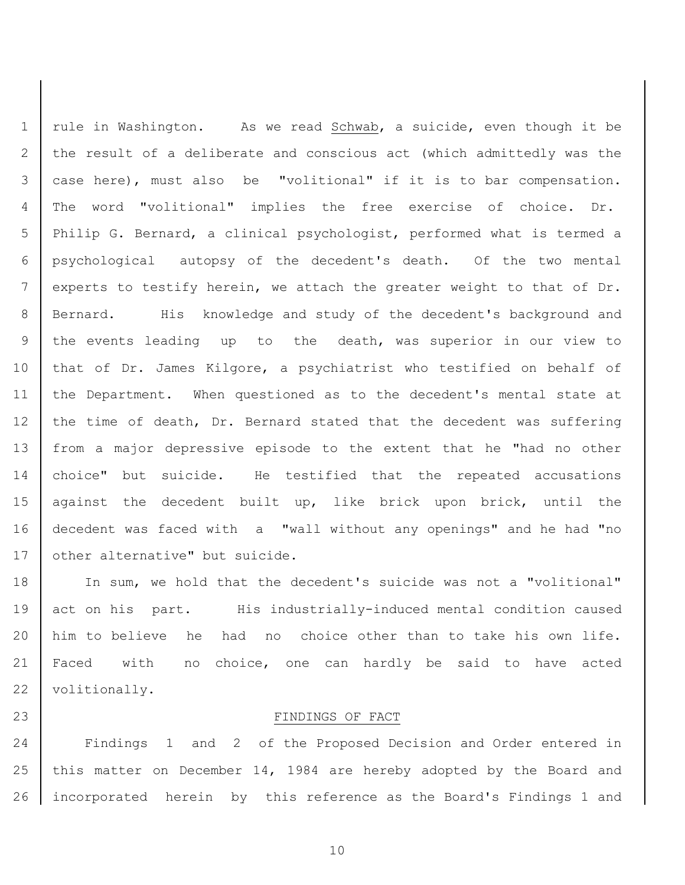1 | rule in Washington. As we read Schwab, a suicide, even though it be 2 the result of a deliberate and conscious act (which admittedly was the case here), must also be "volitional" if it is to bar compensation. The word "volitional" implies the free exercise of choice. Dr. Philip G. Bernard, a clinical psychologist, performed what is termed a psychological autopsy of the decedent's death. Of the two mental experts to testify herein, we attach the greater weight to that of Dr. 8 | Bernard. His knowledge and study of the decedent's background and the events leading up to the death, was superior in our view to 10 | that of Dr. James Kilgore, a psychiatrist who testified on behalf of the Department. When questioned as to the decedent's mental state at 12 the time of death, Dr. Bernard stated that the decedent was suffering from a major depressive episode to the extent that he "had no other choice" but suicide. He testified that the repeated accusations against the decedent built up, like brick upon brick, until the decedent was faced with a "wall without any openings" and he had "no 17 | other alternative" but suicide.

18 | In sum, we hold that the decedent's suicide was not a "volitional" 19 act on his part. His industrially-induced mental condition caused him to believe he had no choice other than to take his own life. Faced with no choice, one can hardly be said to have acted 22 | volitionally.

## 23 FINDINGS OF FACT

 Findings 1 and 2 of the Proposed Decision and Order entered in this matter on December 14, 1984 are hereby adopted by the Board and incorporated herein by this reference as the Board's Findings 1 and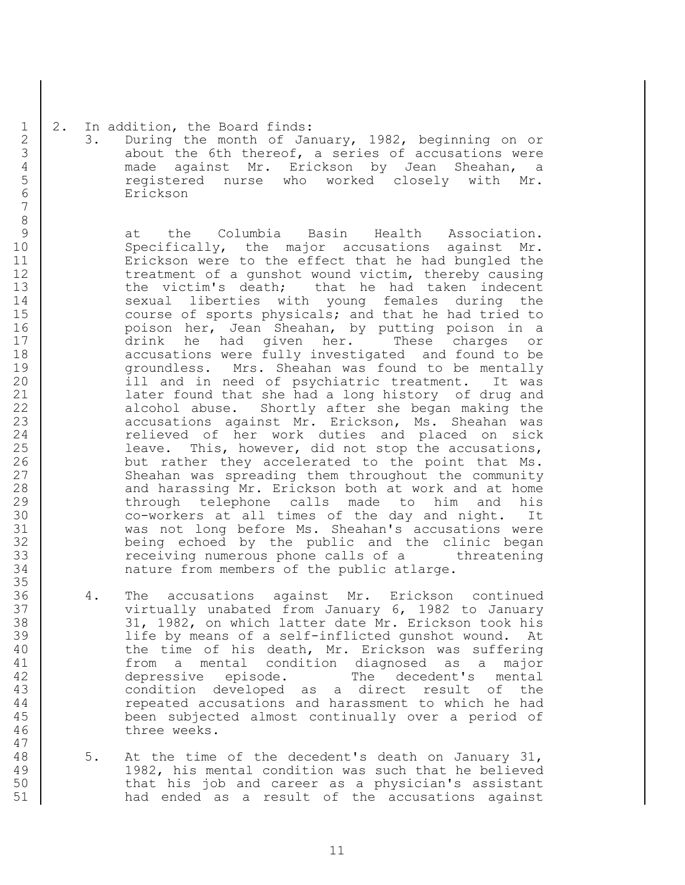### 1 | 2. In addition, the Board finds:

2 3. During the month of January, 1982, beginning on or<br>3 about the 6th thereof, a series of accusations were about the 6th thereof, a series of accusations were 4 made against Mr. Erickson by Jean Sheahan,<br>5 and the state of the worked closely with Mi registered nurse who worked closely with Mr. 6 Erickson

9 at the Columbia Basin Health Association. 10 | Specifically, the major accusations against Mr. 11 Erickson were to the effect that he had bungled the 12 treatment of a gunshot wound victim, thereby causing 13 | the victim's death; that he had taken indecent 14 Sexual liberties with young females during the 15 course of sports physicals; and that he had tried to 16 poison her, Jean Sheahan, by putting poison in a 17 drink he had given her. These charges or 18 accusations were fully investigated and found to be 19 groundless. Mrs. Sheahan was found to be mentally 20 | ill and in need of psychiatric treatment. It was 21 later found that she had a long history of drug and 22 alcohol abuse. Shortly after she began making the 23 | accusations against Mr. Erickson, Ms. Sheahan was 24 Telieved of her work duties and placed on sick 25 | Leave. This, however, did not stop the accusations, 26 but rather they accelerated to the point that Ms. 27 Sheahan was spreading them throughout the community 28 and harassing Mr. Erickson both at work and at home 29 through telephone calls made to him and his 30 co-workers at all times of the day and night. It 31 was not long before Ms. Sheahan's accusations were 32 being echoed by the public and the clinic began 33 receiving numerous phone calls of a threatening 34 nature from members of the public atlarge.

- 36 4. The accusations against Mr. Erickson continued 37 Virtually unabated from January 6, 1982 to January 38 31, 1982, on which latter date Mr. Erickson took his 39 life by means of a self-inflicted gunshot wound. At 40 the time of his death, Mr. Erickson was suffering 41 from a mental condition diagnosed as a major 42 depressive episode. The decedent's mental 43 condition developed as a direct result of the 44 repeated accusations and harassment to which he had 45 been subjected almost continually over a period of 46 three weeks.
- 48 5. At the time of the decedent's death on January 31, 49 1982, his mental condition was such that he believed 50 that his job and career as a physician's assistant 51 had ended as a result of the accusations against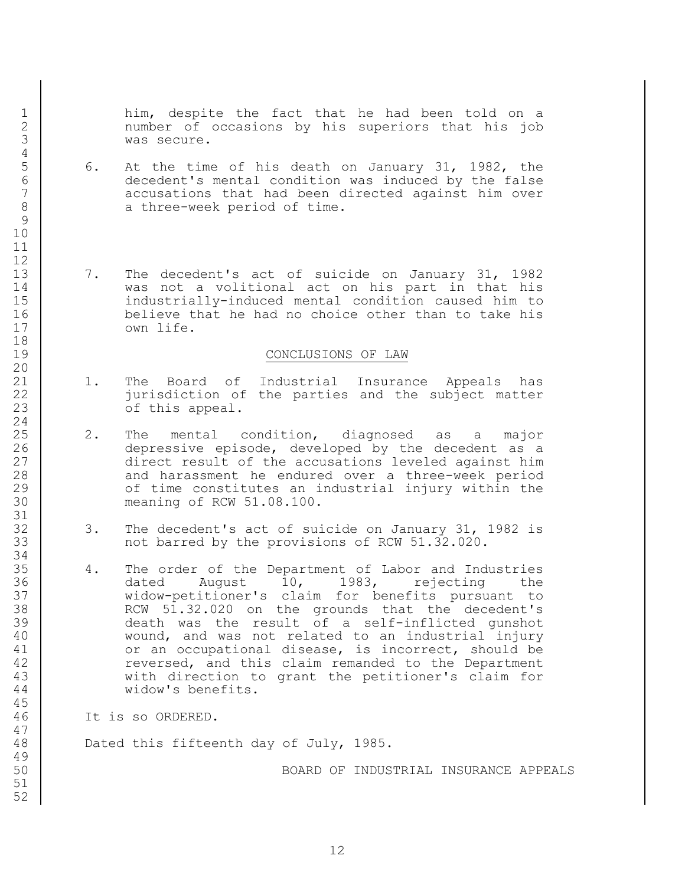him, despite the fact that he had been told on a number of occasions by his superiors that his job was secure.

- 6. At the time of his death on January 31, 1982, the decedent's mental condition was induced by the false accusations that had been directed against him over 8 a three-week period of time.
- 13 7. The decedent's act of suicide on January 31, 1982 was not a volitional act on his part in that his industrially-induced mental condition caused him to 16 believe that he had no choice other than to take his 17 | Own life.

#### CONCLUSIONS OF LAW

- 1. The Board of Industrial Insurance Appeals has jurisdiction of the parties and the subject matter **b** of this appeal.
- 2. The mental condition, diagnosed as a major depressive episode, developed by the decedent as a direct result of the accusations leveled against him 28 and harassment he endured over a three-week period **1** of time constitutes an industrial injury within the meaning of RCW 51.08.100.
- 3. The decedent's act of suicide on January 31, 1982 is 33 not barred by the provisions of RCW 51.32.020.
- 4. The order of the Department of Labor and Industries 36 dated August 10, 1983, rejecting the widow-petitioner's claim for benefits pursuant to 38 RCW 51.32.020 on the grounds that the decedent's death was the result of a self-inflicted gunshot 40 wound, and was not related to an industrial injury 41 or an occupational disease, is incorrect, should be **reversed, and this claim remanded to the Department**  with direction to grant the petitioner's claim for widow's benefits.
- It is so ORDERED.

48 Dated this fifteenth day of July, 1985.

BOARD OF INDUSTRIAL INSURANCE APPEALS